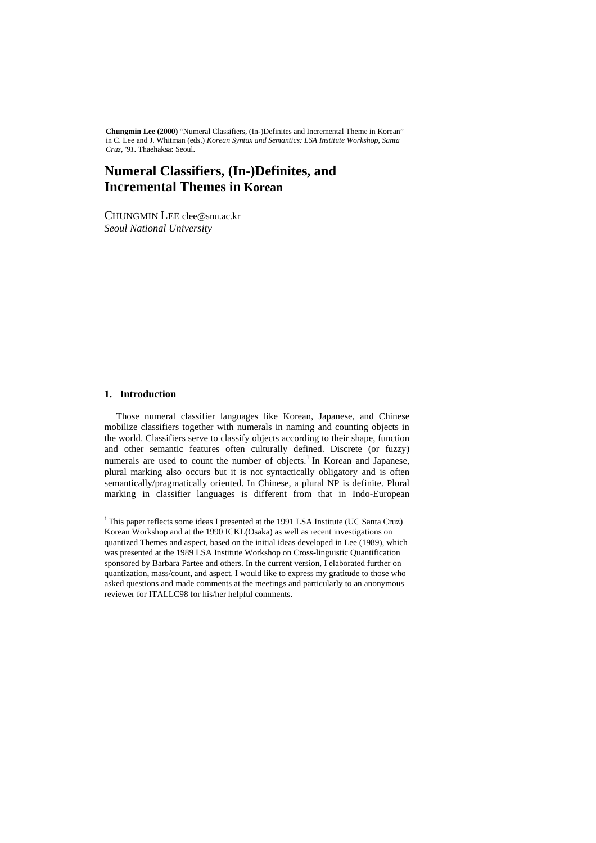**Chungmin Lee (2000)** "Numeral Classifiers, (In-)Definites and Incremental Theme in Korean" in C. Lee and J. Whitman (eds.) *Korean Syntax and Semantics: LSA Institute Workshop, Santa Cruz, '91*. Thaehaksa: Seoul.

# **Numeral Classifiers, (In-)Definites, and Incremental Themes in Korean**

CHUNGMIN LEE clee@snu.ac.kr *Seoul National University* 

### **1. Introduction**

i,

 Those numeral classifier languages like Korean, Japanese, and Chinese mobilize classifiers together with numerals in naming and counting objects in the world. Classifiers serve to classify objects according to their shape, function and other semantic features often culturally defined. Discrete (or fuzzy) numerals are used to count the number of objects.<sup>1</sup> In Korean and Japanese, plural marking also occurs but it is not syntactically obligatory and is often semantically/pragmatically oriented. In Chinese, a plural NP is definite. Plural marking in classifier languages is different from that in Indo-European

<sup>&</sup>lt;sup>1</sup> This paper reflects some ideas I presented at the 1991 LSA Institute (UC Santa Cruz) Korean Workshop and at the 1990 ICKL(Osaka) as well as recent investigations on quantized Themes and aspect, based on the initial ideas developed in Lee (1989), which was presented at the 1989 LSA Institute Workshop on Cross-linguistic Quantification sponsored by Barbara Partee and others. In the current version, I elaborated further on quantization, mass/count, and aspect. I would like to express my gratitude to those who asked questions and made comments at the meetings and particularly to an anonymous reviewer for ITALLC98 for his/her helpful comments.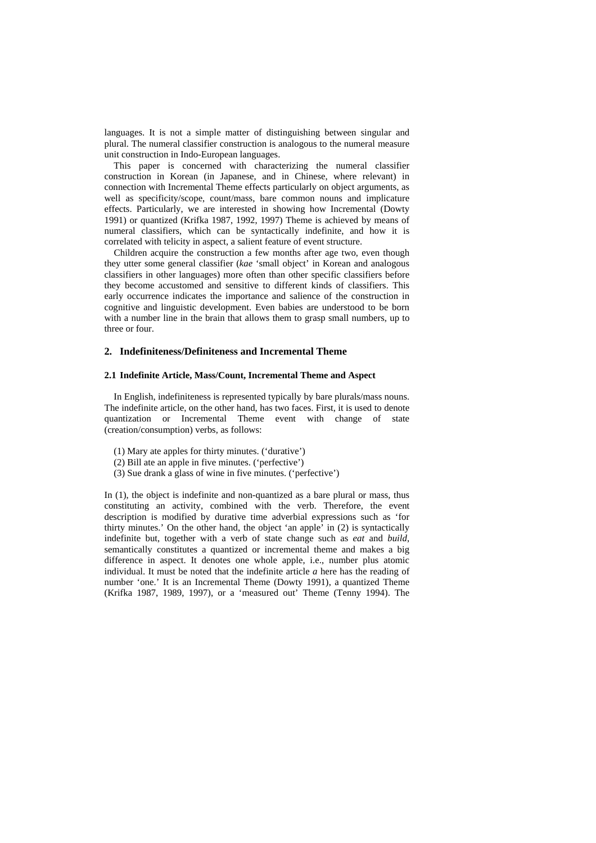languages. It is not a simple matter of distinguishing between singular and plural. The numeral classifier construction is analogous to the numeral measure unit construction in Indo-European languages.

 This paper is concerned with characterizing the numeral classifier construction in Korean (in Japanese, and in Chinese, where relevant) in connection with Incremental Theme effects particularly on object arguments, as well as specificity/scope, count/mass, bare common nouns and implicature effects. Particularly, we are interested in showing how Incremental (Dowty 1991) or quantized (Krifka 1987, 1992, 1997) Theme is achieved by means of numeral classifiers, which can be syntactically indefinite, and how it is correlated with telicity in aspect, a salient feature of event structure.

 Children acquire the construction a few months after age two, even though they utter some general classifier (*kae* 'small object' in Korean and analogous classifiers in other languages) more often than other specific classifiers before they become accustomed and sensitive to different kinds of classifiers. This early occurrence indicates the importance and salience of the construction in cognitive and linguistic development. Even babies are understood to be born with a number line in the brain that allows them to grasp small numbers, up to three or four.

#### **2. Indefiniteness/Definiteness and Incremental Theme**

#### **2.1 Indefinite Article, Mass/Count, Incremental Theme and Aspect**

 In English, indefiniteness is represented typically by bare plurals/mass nouns. The indefinite article, on the other hand, has two faces. First, it is used to denote quantization or Incremental Theme event with change of state (creation/consumption) verbs, as follows:

- (1) Mary ate apples for thirty minutes. ('durative')
- (2) Bill ate an apple in five minutes. ('perfective')
- (3) Sue drank a glass of wine in five minutes. ('perfective')

In (1), the object is indefinite and non-quantized as a bare plural or mass, thus constituting an activity, combined with the verb. Therefore, the event description is modified by durative time adverbial expressions such as 'for thirty minutes.' On the other hand, the object 'an apple' in (2) is syntactically indefinite but, together with a verb of state change such as *eat* and *build*, semantically constitutes a quantized or incremental theme and makes a big difference in aspect. It denotes one whole apple, i.e., number plus atomic individual. It must be noted that the indefinite article *a* here has the reading of number 'one.' It is an Incremental Theme (Dowty 1991), a quantized Theme (Krifka 1987, 1989, 1997), or a 'measured out' Theme (Tenny 1994). The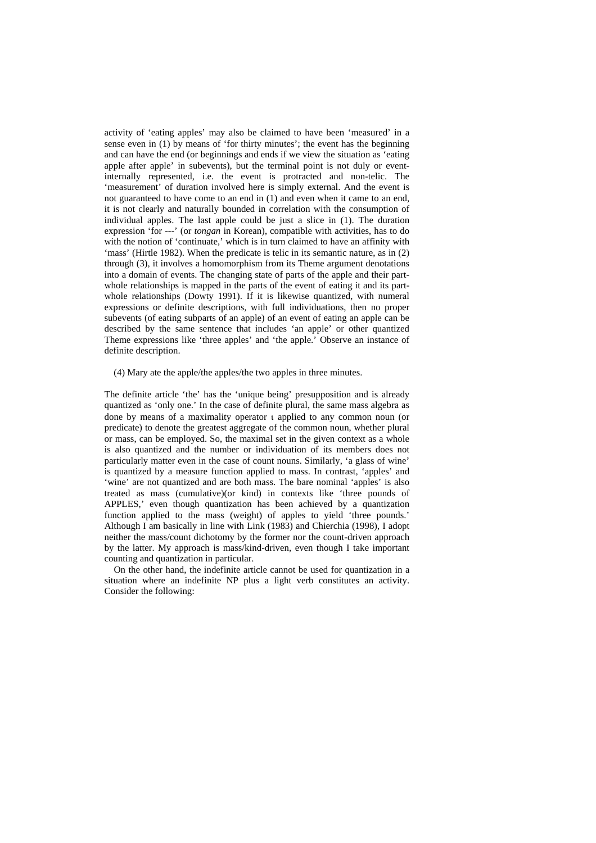activity of 'eating apples' may also be claimed to have been 'measured' in a sense even in (1) by means of 'for thirty minutes'; the event has the beginning and can have the end (or beginnings and ends if we view the situation as 'eating apple after apple' in subevents), but the terminal point is not duly or eventinternally represented, i.e. the event is protracted and non-telic. The 'measurement' of duration involved here is simply external. And the event is not guaranteed to have come to an end in (1) and even when it came to an end, it is not clearly and naturally bounded in correlation with the consumption of individual apples. The last apple could be just a slice in (1). The duration expression 'for ---' (or *tongan* in Korean), compatible with activities, has to do with the notion of 'continuate,' which is in turn claimed to have an affinity with 'mass' (Hirtle 1982). When the predicate is telic in its semantic nature, as in (2) through (3), it involves a homomorphism from its Theme argument denotations into a domain of events. The changing state of parts of the apple and their partwhole relationships is mapped in the parts of the event of eating it and its partwhole relationships (Dowty 1991). If it is likewise quantized, with numeral expressions or definite descriptions, with full individuations, then no proper subevents (of eating subparts of an apple) of an event of eating an apple can be described by the same sentence that includes 'an apple' or other quantized Theme expressions like 'three apples' and 'the apple.' Observe an instance of definite description.

(4) Mary ate the apple/the apples/the two apples in three minutes.

The definite article 'the' has the 'unique being' presupposition and is already quantized as 'only one.' In the case of definite plural, the same mass algebra as done by means of a maximality operator ι applied to any common noun (or predicate) to denote the greatest aggregate of the common noun, whether plural or mass, can be employed. So, the maximal set in the given context as a whole is also quantized and the number or individuation of its members does not particularly matter even in the case of count nouns. Similarly, 'a glass of wine' is quantized by a measure function applied to mass. In contrast, 'apples' and 'wine' are not quantized and are both mass. The bare nominal 'apples' is also treated as mass (cumulative)(or kind) in contexts like 'three pounds of APPLES,' even though quantization has been achieved by a quantization function applied to the mass (weight) of apples to yield 'three pounds.' Although I am basically in line with Link (1983) and Chierchia (1998), I adopt neither the mass/count dichotomy by the former nor the count-driven approach by the latter. My approach is mass/kind-driven, even though I take important counting and quantization in particular.

 On the other hand, the indefinite article cannot be used for quantization in a situation where an indefinite NP plus a light verb constitutes an activity. Consider the following: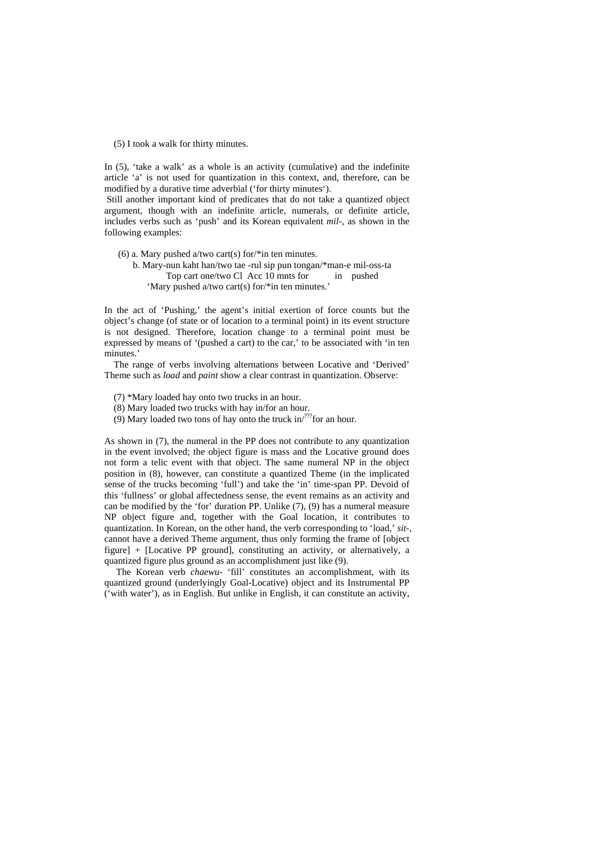(5) I took a walk for thirty minutes.

In (5), 'take a walk' as a whole is an activity (cumulative) and the indefinite article 'a' is not used for quantization in this context, and, therefore, can be modified by a durative time adverbial ('for thirty minutes').

 Still another important kind of predicates that do not take a quantized object argument, though with an indefinite article, numerals, or definite article, includes verbs such as 'push' and its Korean equivalent *mil-*, as shown in the following examples:

(6) a. Mary pushed a/two cart(s) for/\*in ten minutes. b. Mary-nun kaht han/two tae -rul sip pun tongan/\*man-e mil-oss-ta Top cart one/two Cl Acc 10 mnts for in pushed 'Mary pushed a/two cart(s) for/\*in ten minutes.'

In the act of 'Pushing,' the agent's initial exertion of force counts but the object's change (of state or of location to a terminal point) in its event structure is not designed. Therefore, location change to a terminal point must be expressed by means of '(pushed a cart) to the car,' to be associated with 'in ten minutes.'

 The range of verbs involving alternations between Locative and 'Derived' Theme such as *load* and *paint* show a clear contrast in quantization. Observe:

(7) \*Mary loaded hay onto two trucks in an hour.

(8) Mary loaded two trucks with hay in/for an hour.

(9) Mary loaded two tons of hay onto the truck in $/222$  for an hour.

As shown in (7), the numeral in the PP does not contribute to any quantization in the event involved; the object figure is mass and the Locative ground does not form a telic event with that object. The same numeral NP in the object position in (8), however, can constitute a quantized Theme (in the implicated sense of the trucks becoming 'full') and take the 'in' time-span PP. Devoid of this 'fullness' or global affectedness sense, the event remains as an activity and can be modified by the 'for' duration PP. Unlike (7), (9) has a numeral measure NP object figure and, together with the Goal location, it contributes to quantization. In Korean, on the other hand, the verb corresponding to 'load,' *sit-*, cannot have a derived Theme argument, thus only forming the frame of [object figure] + [Locative PP ground], constituting an activity, or alternatively, a quantized figure plus ground as an accomplishment just like (9).

 The Korean verb *chaewu-* 'fill' constitutes an accomplishment, with its quantized ground (underlyingly Goal-Locative) object and its Instrumental PP ('with water'), as in English. But unlike in English, it can constitute an activity,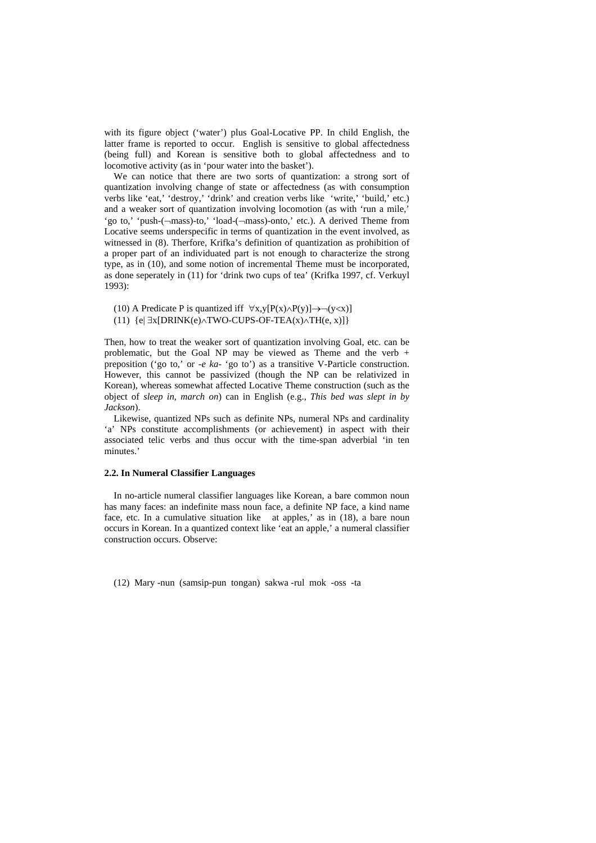with its figure object ('water') plus Goal-Locative PP. In child English, the latter frame is reported to occur. English is sensitive to global affectedness (being full) and Korean is sensitive both to global affectedness and to locomotive activity (as in 'pour water into the basket').

 We can notice that there are two sorts of quantization: a strong sort of quantization involving change of state or affectedness (as with consumption verbs like 'eat,' 'destroy,' 'drink' and creation verbs like 'write,' 'build,' etc.) and a weaker sort of quantization involving locomotion (as with 'run a mile,' 'go to,' 'push-(¬mass)-to,' 'load-(¬mass)-onto,' etc.). A derived Theme from Locative seems underspecific in terms of quantization in the event involved, as witnessed in (8). Therfore, Krifka's definition of quantization as prohibition of a proper part of an individuated part is not enough to characterize the strong type, as in (10), and some notion of incremental Theme must be incorporated, as done seperately in (11) for 'drink two cups of tea' (Krifka 1997, cf. Verkuyl 1993):

(10) A Predicate P is quantized iff  $\forall x, y [P(x) \land P(y)] \rightarrow \neg(y \leq x)$ ] (11)  $\{e | \exists x [DRINK(e) \land TWO-CUPS-OF-TEA(x) \land TH(e, x)]\}$ 

Then, how to treat the weaker sort of quantization involving Goal, etc. can be problematic, but the Goal NP may be viewed as Theme and the verb  $+$ preposition ('go to,' or -*e ka-* 'go to') as a transitive V-Particle construction. However, this cannot be passivized (though the NP can be relativized in Korean), whereas somewhat affected Locative Theme construction (such as the object of *sleep in*, *march on*) can in English (e.g., *This bed was slept in by Jackson*).

 Likewise, quantized NPs such as definite NPs, numeral NPs and cardinality 'a' NPs constitute accomplishments (or achievement) in aspect with their associated telic verbs and thus occur with the time-span adverbial 'in ten minutes.'

#### **2.2. In Numeral Classifier Languages**

 In no-article numeral classifier languages like Korean, a bare common noun has many faces: an indefinite mass noun face, a definite NP face, a kind name face, etc. In a cumulative situation like at apples,' as in (18), a bare noun occurs in Korean. In a quantized context like 'eat an apple,' a numeral classifier construction occurs. Observe:

(12) Mary -nun (samsip-pun tongan) sakwa -rul mok -oss -ta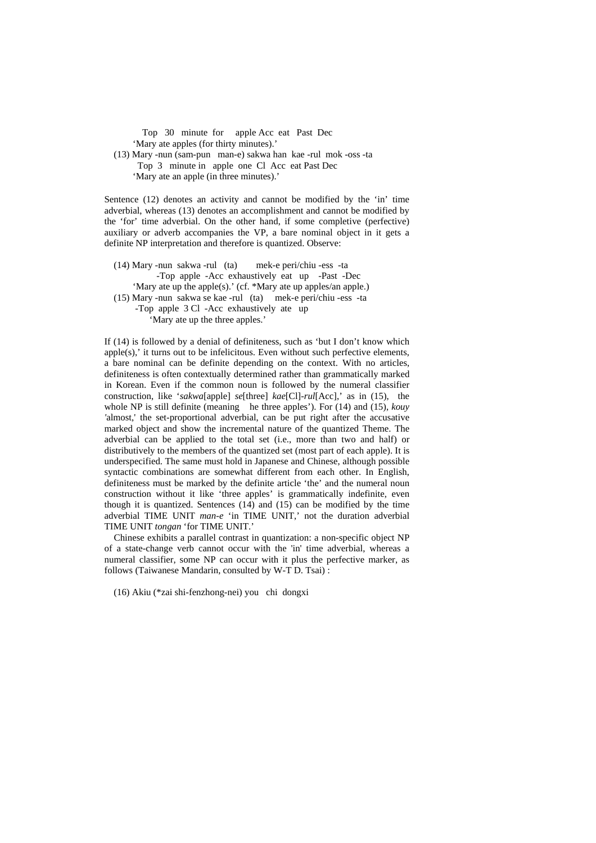Top 30 minute for apple Acc eat Past Dec 'Mary ate apples (for thirty minutes).'

 (13) Mary -nun (sam-pun man-e) sakwa han kae -rul mok -oss -ta Top 3 minute in apple one Cl Acc eat Past Dec 'Mary ate an apple (in three minutes).'

Sentence (12) denotes an activity and cannot be modified by the 'in' time adverbial, whereas (13) denotes an accomplishment and cannot be modified by the 'for' time adverbial. On the other hand, if some completive (perfective) auxiliary or adverb accompanies the VP, a bare nominal object in it gets a definite NP interpretation and therefore is quantized. Observe:

 (14) Mary -nun sakwa -rul (ta) mek-e peri/chiu -ess -ta -Top apple -Acc exhaustively eat up -Past -Dec 'Mary ate up the apple(s).' (cf. \*Mary ate up apples/an apple.) (15) Mary -nun sakwa se kae -rul (ta) mek-e peri/chiu -ess -ta -Top apple 3 Cl -Acc exhaustively ate up 'Mary ate up the three apples.'

If (14) is followed by a denial of definiteness, such as 'but I don't know which apple(s),' it turns out to be infelicitous. Even without such perfective elements, a bare nominal can be definite depending on the context. With no articles, definiteness is often contextually determined rather than grammatically marked in Korean. Even if the common noun is followed by the numeral classifier construction, like '*sakwa*[apple] *se*[three] *kae*[Cl]-*rul*[Acc],' as in (15), the whole NP is still definite (meaning he three apples'). For (14) and (15), *kouy '*almost,' the set-proportional adverbial, can be put right after the accusative marked object and show the incremental nature of the quantized Theme. The adverbial can be applied to the total set (i.e., more than two and half) or distributively to the members of the quantized set (most part of each apple). It is underspecified. The same must hold in Japanese and Chinese, although possible syntactic combinations are somewhat different from each other. In English, definiteness must be marked by the definite article 'the' and the numeral noun construction without it like 'three apples' is grammatically indefinite, even though it is quantized. Sentences (14) and (15) can be modified by the time adverbial TIME UNIT *man-e* 'in TIME UNIT,' not the duration adverbial TIME UNIT *tongan* 'for TIME UNIT.'

 Chinese exhibits a parallel contrast in quantization: a non-specific object NP of a state-change verb cannot occur with the 'in' time adverbial, whereas a numeral classifier, some NP can occur with it plus the perfective marker, as follows (Taiwanese Mandarin, consulted by W-T D. Tsai) :

(16) Akiu (\*zai shi-fenzhong-nei) you chi dongxi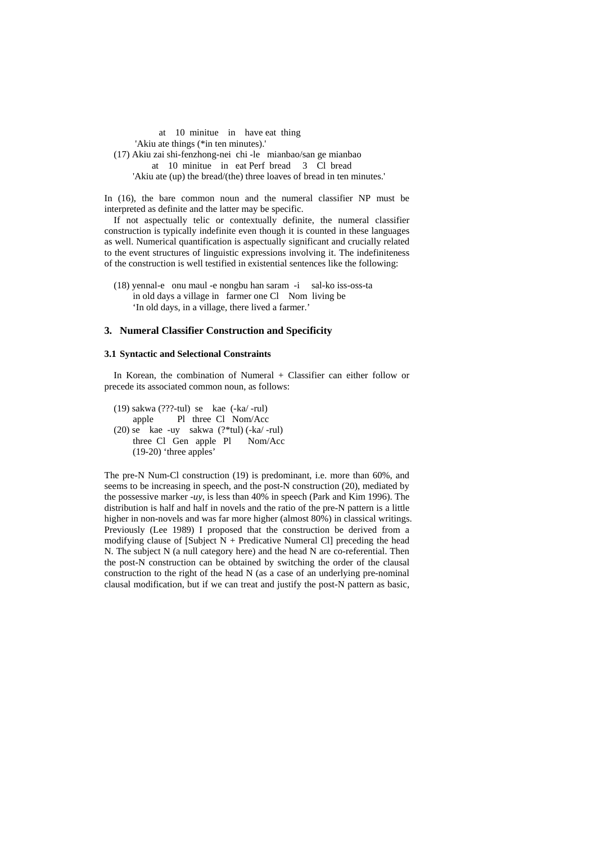at 10 minitue in have eat thing 'Akiu ate things (\*in ten minutes).' (17) Akiu zai shi-fenzhong-nei chi -le mianbao/san ge mianbao at 10 minitue in eat Perf bread 3 Cl bread 'Akiu ate (up) the bread/(the) three loaves of bread in ten minutes.'

In (16), the bare common noun and the numeral classifier NP must be interpreted as definite and the latter may be specific.

 If not aspectually telic or contextually definite, the numeral classifier construction is typically indefinite even though it is counted in these languages as well. Numerical quantification is aspectually significant and crucially related to the event structures of linguistic expressions involving it. The indefiniteness of the construction is well testified in existential sentences like the following:

 (18) yennal-e onu maul -e nongbu han saram -i sal-ko iss-oss-ta in old days a village in farmer one Cl Nom living be 'In old days, in a village, there lived a farmer.'

#### **3. Numeral Classifier Construction and Specificity**

#### **3.1 Syntactic and Selectional Constraints**

 In Korean, the combination of Numeral + Classifier can either follow or precede its associated common noun, as follows:

 (19) sakwa (???-tul) se kae (-ka/ -rul) apple Pl three Cl Nom/Acc (20) se kae -uy sakwa (?\*tul) (-ka/ -rul) three Cl Gen apple Pl Nom/Acc (19-20) 'three apples'

The pre-N Num-Cl construction (19) is predominant, i.e. more than 60%, and seems to be increasing in speech, and the post-N construction (20), mediated by the possessive marker -*uy*, is less than 40% in speech (Park and Kim 1996). The distribution is half and half in novels and the ratio of the pre-N pattern is a little higher in non-novels and was far more higher (almost 80%) in classical writings. Previously (Lee 1989) I proposed that the construction be derived from a modifying clause of [Subject  $N +$  Predicative Numeral Cl] preceding the head N. The subject N (a null category here) and the head N are co-referential. Then the post-N construction can be obtained by switching the order of the clausal construction to the right of the head N (as a case of an underlying pre-nominal clausal modification, but if we can treat and justify the post-N pattern as basic,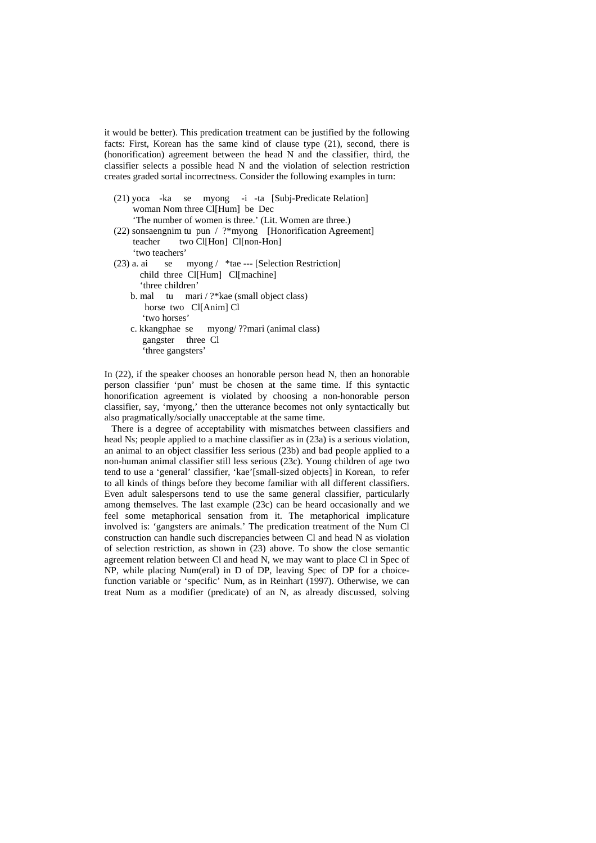it would be better). This predication treatment can be justified by the following facts: First, Korean has the same kind of clause type (21), second, there is (honorification) agreement between the head N and the classifier, third, the classifier selects a possible head N and the violation of selection restriction creates graded sortal incorrectness. Consider the following examples in turn:

- (21) yoca -ka se myong -i -ta [Subj-Predicate Relation] woman Nom three Cl[Hum] be Dec 'The number of women is three.' (Lit. Women are three.) (22) sonsaengnim tu pun / ?\*myong [Honorification Agreement] teacher two Cl[Hon] Cl[non-Hon] 'two teachers'
- (23) a. ai se myong / \*tae --- [Selection Restriction] child three Cl[Hum] Cl[machine] 'three children'
	- b. mal tu mari / ?\*kae (small object class) horse two Cl[Anim] Cl 'two horses'
	- c. kkangphae se myong/ ??mari (animal class) gangster three Cl 'three gangsters'

In (22), if the speaker chooses an honorable person head N, then an honorable person classifier 'pun' must be chosen at the same time. If this syntactic honorification agreement is violated by choosing a non-honorable person classifier, say, 'myong,' then the utterance becomes not only syntactically but also pragmatically/socially unacceptable at the same time.

 There is a degree of acceptability with mismatches between classifiers and head Ns; people applied to a machine classifier as in (23a) is a serious violation, an animal to an object classifier less serious (23b) and bad people applied to a non-human animal classifier still less serious (23c). Young children of age two tend to use a 'general' classifier, 'kae'[small-sized objects] in Korean, to refer to all kinds of things before they become familiar with all different classifiers. Even adult salespersons tend to use the same general classifier, particularly among themselves. The last example (23c) can be heard occasionally and we feel some metaphorical sensation from it. The metaphorical implicature involved is: 'gangsters are animals.' The predication treatment of the Num Cl construction can handle such discrepancies between Cl and head N as violation of selection restriction, as shown in (23) above. To show the close semantic agreement relation between Cl and head N, we may want to place Cl in Spec of NP, while placing Num(eral) in D of DP, leaving Spec of DP for a choicefunction variable or 'specific' Num, as in Reinhart (1997). Otherwise, we can treat Num as a modifier (predicate) of an N, as already discussed, solving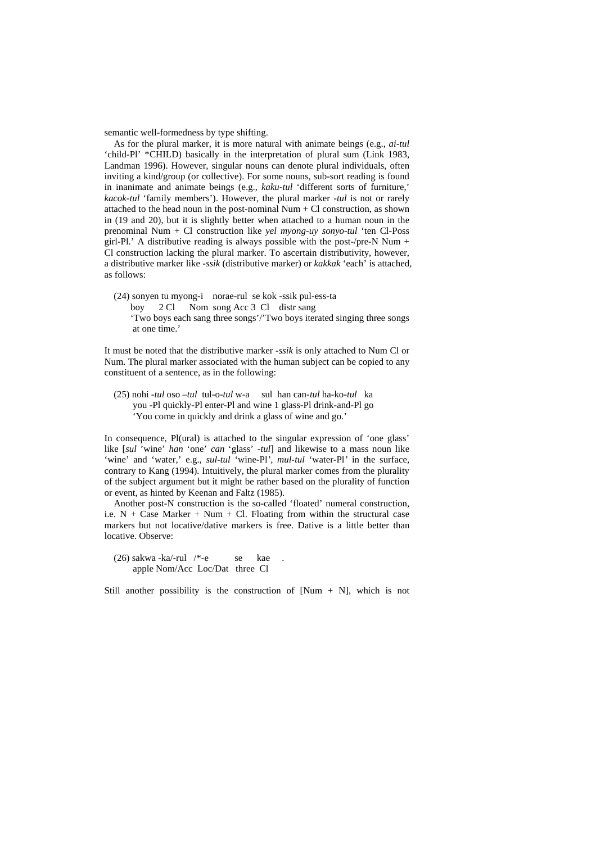semantic well-formedness by type shifting.

 As for the plural marker, it is more natural with animate beings (e.g., *ai-tul*  'child-Pl' \*CHILD) basically in the interpretation of plural sum (Link 1983, Landman 1996). However, singular nouns can denote plural individuals, often inviting a kind/group (or collective). For some nouns, sub-sort reading is found in inanimate and animate beings (e.g., *kaku-tul* 'different sorts of furniture,' *kacok-tul* 'family members'). However, the plural marker -*tul* is not or rarely attached to the head noun in the post-nominal Num + Cl construction, as shown in (19 and 20), but it is slightly better when attached to a human noun in the prenominal Num + Cl construction like *yel myong-uy sonyo-tul* 'ten Cl-Poss girl-Pl.' A distributive reading is always possible with the post-/pre-N Num + Cl construction lacking the plural marker. To ascertain distributivity, however, a distributive marker like -*ssik* (distributive marker) or *kakkak* 'each' is attached, as follows:

 (24) sonyen tu myong-i norae-rul se kok -ssik pul-ess-ta boy 2 Cl Nom song Acc 3 Cl distr sang 'Two boys each sang three songs'/'Two boys iterated singing three songs at one time.'

It must be noted that the distributive marker -*ssik* is only attached to Num Cl or Num. The plural marker associated with the human subject can be copied to any constituent of a sentence, as in the following:

 (25) nohi -*tul* oso –*tul* tul-o-*tul* w-a sul han can-*tul* ha-ko-*tul* ka you -Pl quickly-Pl enter-Pl and wine 1 glass-Pl drink-and-Pl go 'You come in quickly and drink a glass of wine and go.'

In consequence, Pl(ural) is attached to the singular expression of 'one glass' like [*sul* 'wine' *han* 'one' *can* 'glass' *-tul*] and likewise to a mass noun like 'wine' and 'water,' e.g., *sul-tul* 'wine-Pl', *mul-tul* 'water-Pl' in the surface, contrary to Kang (1994)*.* Intuitively, the plural marker comes from the plurality of the subject argument but it might be rather based on the plurality of function or event, as hinted by Keenan and Faltz (1985).

 Another post-N construction is the so-called 'floated' numeral construction, i.e.  $N + \text{Case Market} + \text{Num} + \text{Cl}$ . Floating from within the structural case markers but not locative/dative markers is free. Dative is a little better than locative. Observe:

 $(26)$  sakwa -ka/-rul /\*-e se kae apple Nom/Acc Loc/Dat three Cl

Still another possibility is the construction of  $Num + N$ , which is not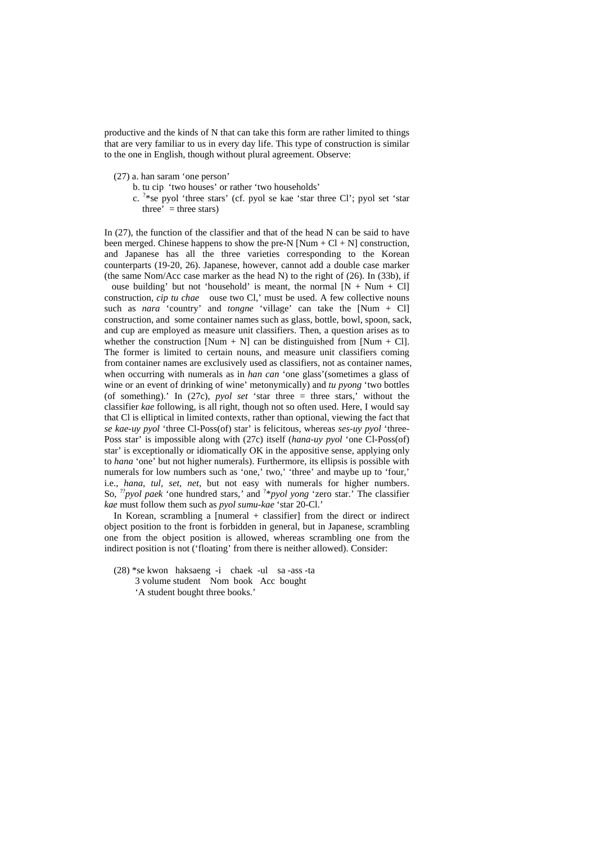productive and the kinds of N that can take this form are rather limited to things that are very familiar to us in every day life. This type of construction is similar to the one in English, though without plural agreement. Observe:

- (27) a. han saram 'one person'
	- b. tu cip 'two houses' or rather 'two households'
- c. ? \*se pyol 'three stars' (cf. pyol se kae 'star three Cl'; pyol set 'star three'  $=$  three stars)

In (27), the function of the classifier and that of the head N can be said to have been merged. Chinese happens to show the pre-N  $[Num + Cl + N]$  construction, and Japanese has all the three varieties corresponding to the Korean counterparts (19-20, 26). Japanese, however, cannot add a double case marker (the same Nom/Acc case marker as the head N) to the right of (26). In (33b), if

ouse building' but not 'household' is meant, the normal  $[N + Num + Cl]$ construction, *cip tu chae* ouse two Cl,' must be used. A few collective nouns such as *nara* 'country' and *tongne* 'village' can take the [Num + Cl] construction, and some container names such as glass, bottle, bowl, spoon, sack, and cup are employed as measure unit classifiers. Then, a question arises as to whether the construction [Num + N] can be distinguished from [Num + Cl]. The former is limited to certain nouns, and measure unit classifiers coming from container names are exclusively used as classifiers, not as container names, when occurring with numerals as in *han can* 'one glass'(sometimes a glass of wine or an event of drinking of wine' metonymically) and *tu pyong* 'two bottles (of something).' In (27c), *pyol set* 'star three = three stars,' without the classifier *kae* following, is all right, though not so often used. Here, I would say that Cl is elliptical in limited contexts, rather than optional, viewing the fact that *se kae-uy pyol* 'three Cl-Poss(of) star' is felicitous, whereas *ses-uy pyol* 'three-Poss star' is impossible along with (27c) itself (*hana-uy pyol* 'one Cl-Poss(of) star' is exceptionally or idiomatically OK in the appositive sense, applying only to *hana* 'one' but not higher numerals). Furthermore, its ellipsis is possible with numerals for low numbers such as 'one,' two,' 'three' and maybe up to 'four,' i.e., *hana, tul, set, net,* but not easy with numerals for higher numbers. So, ??*pyol paek* 'one hundred stars,*'* and ? \**pyol yong* 'zero star.' The classifier *kae* must follow them such as *pyol sumu-kae* 'star 20-Cl.'

 In Korean, scrambling a [numeral + classifier] from the direct or indirect object position to the front is forbidden in general, but in Japanese, scrambling one from the object position is allowed, whereas scrambling one from the indirect position is not ('floating' from there is neither allowed). Consider:

 (28) \*se kwon haksaeng -i chaek -ul sa -ass -ta 3 volume student Nom book Acc bought 'A student bought three books.'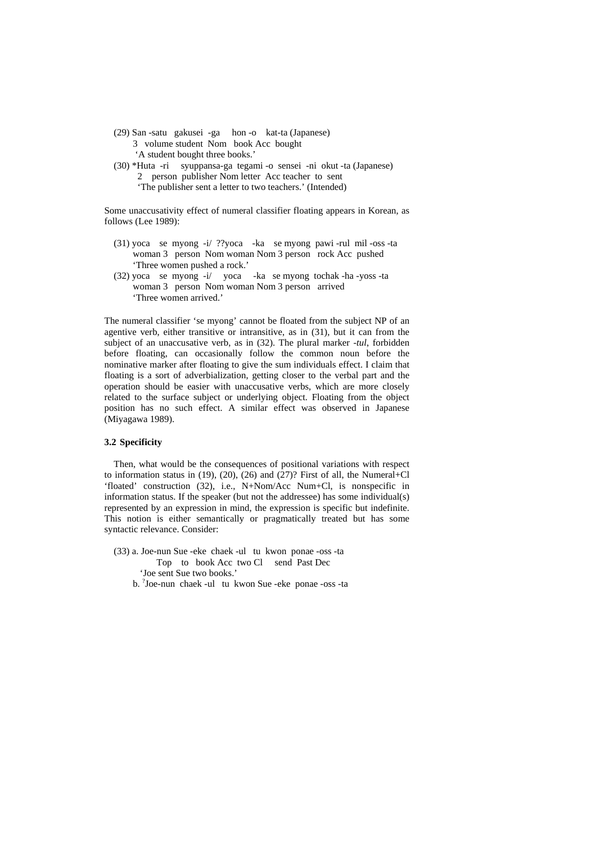- (29) San -satu gakusei -ga hon -o kat-ta (Japanese) 3 volume student Nom book Acc bought 'A student bought three books.'
- (30) \*Huta -ri syuppansa-ga tegami -o sensei -ni okut -ta (Japanese) 2 person publisher Nom letter Acc teacher to sent 'The publisher sent a letter to two teachers.' (Intended)

Some unaccusativity effect of numeral classifier floating appears in Korean, as follows (Lee 1989):

- (31) yoca se myong -i/ ??yoca -ka se myong pawi -rul mil -oss -ta woman 3 person Nom woman Nom 3 person rock Acc pushed 'Three women pushed a rock.'
- (32) yoca se myong -i/ yoca -ka se myong tochak -ha -yoss -ta woman 3 person Nom woman Nom 3 person arrived 'Three women arrived.'

The numeral classifier 'se myong' cannot be floated from the subject NP of an agentive verb, either transitive or intransitive, as in (31), but it can from the subject of an unaccusative verb, as in (32). The plural marker *-tul*, forbidden before floating, can occasionally follow the common noun before the nominative marker after floating to give the sum individuals effect. I claim that floating is a sort of adverbialization, getting closer to the verbal part and the operation should be easier with unaccusative verbs, which are more closely related to the surface subject or underlying object. Floating from the object position has no such effect. A similar effect was observed in Japanese (Miyagawa 1989).

## **3.2 Specificity**

 Then, what would be the consequences of positional variations with respect to information status in (19), (20), (26) and (27)? First of all, the Numeral+Cl 'floated' construction (32), i.e., N+Nom/Acc Num+Cl, is nonspecific in information status. If the speaker (but not the addressee) has some individual(s) represented by an expression in mind, the expression is specific but indefinite. This notion is either semantically or pragmatically treated but has some syntactic relevance. Consider:

- (33) a. Joe-nun Sue -eke chaek -ul tu kwon ponae -oss -ta Top to book Acc two Cl send Past Dec 'Joe sent Sue two books.'
- b. ? Joe-nun chaek -ul tu kwon Sue -eke ponae -oss -ta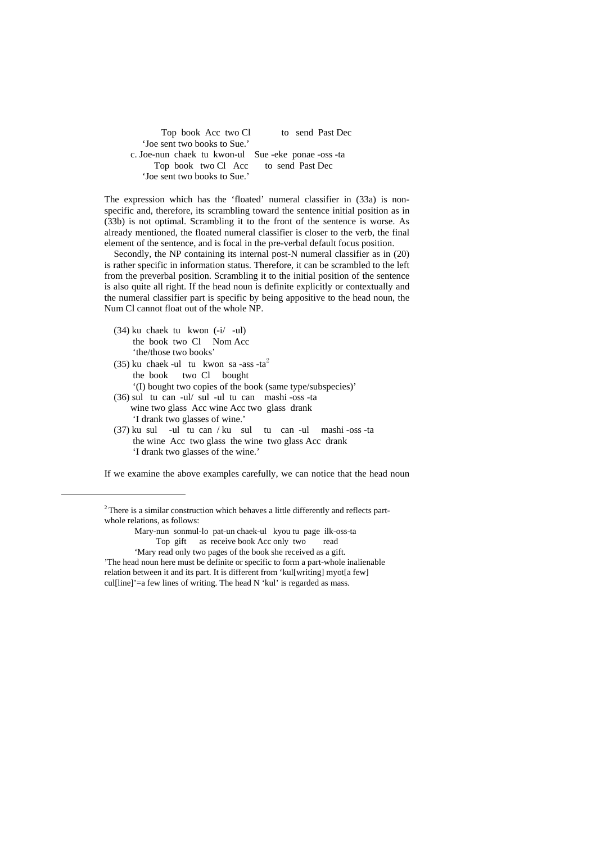Top book Acc two Cl to send Past Dec 'Joe sent two books to Sue.' c. Joe-nun chaek tu kwon-ul Sue -eke ponae -oss -ta Top book two Cl Acc to send Past Dec 'Joe sent two books to Sue.'

The expression which has the 'floated' numeral classifier in (33a) is nonspecific and, therefore, its scrambling toward the sentence initial position as in (33b) is not optimal. Scrambling it to the front of the sentence is worse. As already mentioned, the floated numeral classifier is closer to the verb, the final element of the sentence, and is focal in the pre-verbal default focus position.

 Secondly, the NP containing its internal post-N numeral classifier as in (20) is rather specific in information status. Therefore, it can be scrambled to the left from the preverbal position. Scrambling it to the initial position of the sentence is also quite all right. If the head noun is definite explicitly or contextually and the numeral classifier part is specific by being appositive to the head noun, the Num Cl cannot float out of the whole NP.

 (34) ku chaek tu kwon (-i/ -ul) the book two Cl Nom Acc 'the/those two books'

i,

(35) ku chaek -ul tu kwon sa -ass -ta<sup>2</sup> the book two Cl bought

'(I) bought two copies of the book (same type/subspecies)'

- (36) sul tu can -ul/ sul -ul tu can mashi -oss -ta wine two glass Acc wine Acc two glass drank 'I drank two glasses of wine.'
- (37) ku sul -ul tu can / ku sul tu can -ul mashi -oss -ta the wine Acc two glass the wine two glass Acc drank 'I drank two glasses of the wine.'

If we examine the above examples carefully, we can notice that the head noun

<sup>&</sup>lt;sup>2</sup> There is a similar construction which behaves a little differently and reflects partwhole relations, as follows:

Mary-nun sonmul-lo pat-un chaek-ul kyou tu page ilk-oss-ta Top gift as receive book Acc only two read

 <sup>&#</sup>x27;Mary read only two pages of the book she received as a gift. 'The head noun here must be definite or specific to form a part-whole inalienable relation between it and its part. It is different from 'kul[writing] myot[a few] cul[line]'=a few lines of writing. The head  $N$  'kul' is regarded as mass.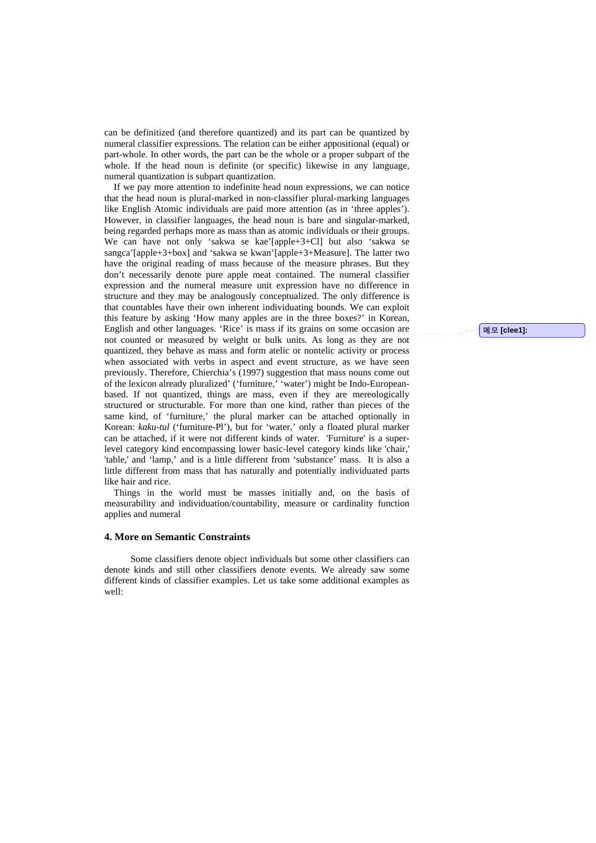can be definitized (and therefore quantized) and its part can be quantized by numeral classifier expressions. The relation can be either appositional (equal) or part-whole. In other words, the part can be the whole or a proper subpart of the whole. If the head noun is definite (or specific) likewise in any language, numeral quantization is subpart quantization.

 If we pay more attention to indefinite head noun expressions, we can notice that the head noun is plural-marked in non-classifier plural-marking languages like English Atomic individuals are paid more attention (as in 'three apples'). However, in classifier languages, the head noun is bare and singular-marked, being regarded perhaps more as mass than as atomic individuals or their groups. We can have not only 'sakwa se kae'[apple+3+Cl] but also 'sakwa se sangca'[apple+3+box] and 'sakwa se kwan'[apple+3+Measure]. The latter two have the original reading of mass because of the measure phrases. But they don't necessarily denote pure apple meat contained. The numeral classifier expression and the numeral measure unit expression have no difference in structure and they may be analogously conceptualized. The only difference is that countables have their own inherent individuating bounds. We can exploit this feature by asking 'How many apples are in the three boxes?' in Korean, English and other languages. 'Rice' is mass if its grains on some occasion are not counted or measured by weight or bulk units. As long as they are not quantized, they behave as mass and form atelic or nontelic activity or process when associated with verbs in aspect and event structure, as we have seen previously. Therefore, Chierchia's (1997) suggestion that mass nouns come out of the lexicon already pluralized' ('furniture,' 'water') might be Indo-Europeanbased. If not quantized, things are mass, even if they are mereologically structured or structurable. For more than one kind, rather than pieces of the same kind, of 'furniture,' the plural marker can be attached optionally in Korean: *kaku-tul* ('furniture-Pl'), but for 'water,' only a floated plural marker can be attached, if it were not different kinds of water. 'Furniture' is a superlevel category kind encompassing lower basic-level category kinds like 'chair,' 'table,' and 'lamp,' and is a little different from 'substance' mass. It is also a little different from mass that has naturally and potentially individuated parts like hair and rice.

 Things in the world must be masses initially and, on the basis of measurability and individuation/countability, measure or cardinality function applies and numeral

#### **4. More on Semantic Constraints**

 Some classifiers denote object individuals but some other classifiers can denote kinds and still other classifiers denote events. We already saw some different kinds of classifier examples. Let us take some additional examples as well:

메모 **[clee1]:**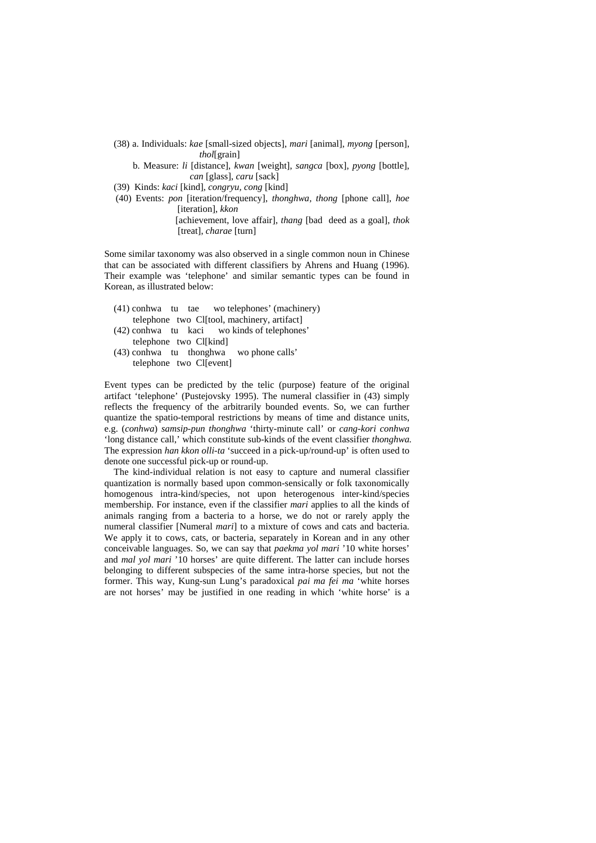- (38) a. Individuals: *kae* [small-sized objects], *mari* [animal], *myong* [person], *thol*[grain]
	- b. Measure: *li* [distance], *kwan* [weight], *sangca* [box], *pyong* [bottle], *can* [glass], *caru* [sack]
- (39) Kinds: *kaci* [kind], *congryu, cong* [kind]
- (40) Events: *pon* [iteration/frequency], *thonghwa, thong* [phone call], *hoe*  [iteration], *kkon*

[achievement, love affair], *thang* [bad deed as a goal], *thok* [treat], *charae* [turn]

Some similar taxonomy was also observed in a single common noun in Chinese that can be associated with different classifiers by Ahrens and Huang (1996). Their example was 'telephone' and similar semantic types can be found in Korean, as illustrated below:

- (41) conhwa tu tae wo telephones' (machinery) telephone two Cl[tool, machinery, artifact] (42) conhwa tu kaci wo kinds of telephones'
- telephone two Cl[kind] (43) conhwa tu thonghwa wo phone calls'
	- telephone two Cl[event]

Event types can be predicted by the telic (purpose) feature of the original artifact 'telephone' (Pustejovsky 1995). The numeral classifier in (43) simply reflects the frequency of the arbitrarily bounded events. So, we can further quantize the spatio-temporal restrictions by means of time and distance units, e.g. (*conhwa*) *samsip-pun thonghwa* 'thirty-minute call' or *cang-kori conhwa* 'long distance call,' which constitute sub-kinds of the event classifier *thonghwa.* The expression *han kkon olli-ta* 'succeed in a pick-up/round-up' is often used to denote one successful pick-up or round-up.

 The kind-individual relation is not easy to capture and numeral classifier quantization is normally based upon common-sensically or folk taxonomically homogenous intra-kind/species, not upon heterogenous inter-kind/species membership. For instance, even if the classifier *mari* applies to all the kinds of animals ranging from a bacteria to a horse, we do not or rarely apply the numeral classifier [Numeral *mari*] to a mixture of cows and cats and bacteria. We apply it to cows, cats, or bacteria, separately in Korean and in any other conceivable languages. So, we can say that *paekma yol mari* '10 white horses' and *mal yol mari* '10 horses' are quite different. The latter can include horses belonging to different subspecies of the same intra-horse species, but not the former. This way, Kung-sun Lung's paradoxical *pai ma fei ma* 'white horses are not horses' may be justified in one reading in which 'white horse' is a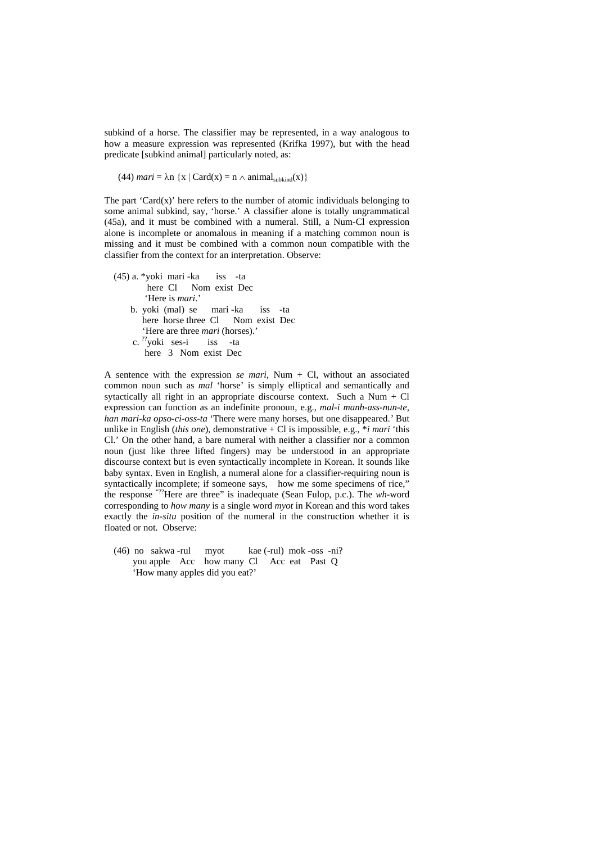subkind of a horse. The classifier may be represented, in a way analogous to how a measure expression was represented (Krifka 1997), but with the head predicate [subkind animal] particularly noted, as:

(44)  $mari = \lambda n$  {x | Card(x) = n  $\wedge$  animal<sub>subkind</sub>(x)}

The part 'Card $(x)$ ' here refers to the number of atomic individuals belonging to some animal subkind, say, 'horse.' A classifier alone is totally ungrammatical (45a), and it must be combined with a numeral. Still, a Num-Cl expression alone is incomplete or anomalous in meaning if a matching common noun is missing and it must be combined with a common noun compatible with the classifier from the context for an interpretation. Observe:

 (45) a. \*yoki mari -ka iss -ta here Cl Nom exist Dec 'Here is *mari*.' b. yoki (mal) se mari -ka iss -ta here horse three Cl Nom exist Dec 'Here are three *mari* (horses).' c. ??yoki ses-i iss -ta here 3 Nom exist Dec

A sentence with the expression *se mari*, Num + Cl, without an associated common noun such as *mal* 'horse' is simply elliptical and semantically and sytactically all right in an appropriate discourse context. Such a Num + Cl expression can function as an indefinite pronoun, e.g., *mal-i manh-ass-nun-te, han mari-ka opso-ci-oss-ta* 'There were many horses, but one disappeared.*'* But unlike in English (*this one*), demonstrative + Cl is impossible, e.g., \**i mari* 'this Cl.' On the other hand, a bare numeral with neither a classifier nor a common noun (just like three lifted fingers) may be understood in an appropriate discourse context but is even syntactically incomplete in Korean. It sounds like baby syntax. Even in English, a numeral alone for a classifier-requiring noun is syntactically incomplete; if someone says, how me some specimens of rice," the response "??Here are three" is inadequate (Sean Fulop, p.c.). The *wh-*word corresponding to *how many* is a single word *myot* in Korean and this word takes exactly the *in-situ* position of the numeral in the construction whether it is floated or not. Observe:

 (46) no sakwa -rul myot kae (-rul) mok -oss -ni? you apple Acc how many Cl Acc eat Past Q 'How many apples did you eat?'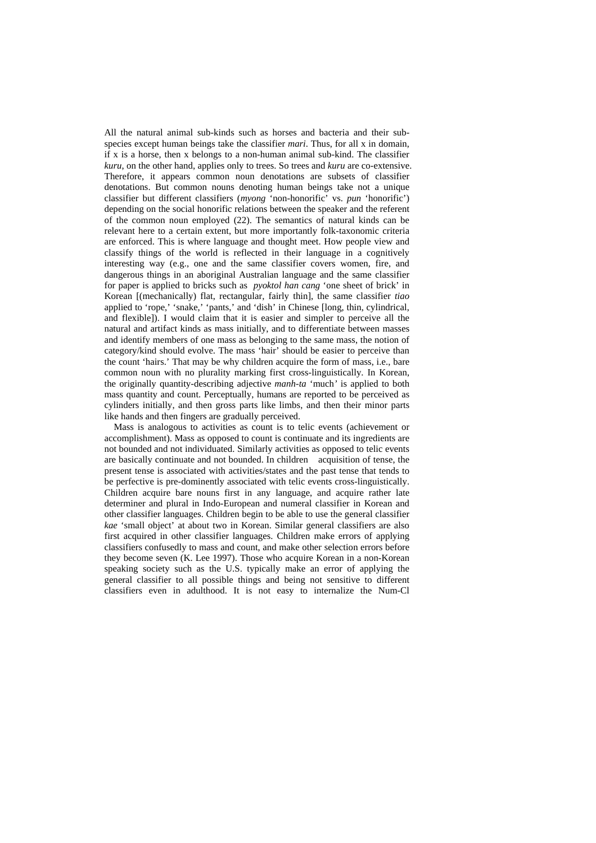All the natural animal sub-kinds such as horses and bacteria and their subspecies except human beings take the classifier *mari*. Thus, for all x in domain, if x is a horse, then x belongs to a non-human animal sub-kind. The classifier *kuru*, on the other hand, applies only to trees. So trees and *kuru* are co-extensive. Therefore, it appears common noun denotations are subsets of classifier denotations. But common nouns denoting human beings take not a unique classifier but different classifiers (*myong* 'non-honorific' vs. *pun* 'honorific') depending on the social honorific relations between the speaker and the referent of the common noun employed (22). The semantics of natural kinds can be relevant here to a certain extent, but more importantly folk-taxonomic criteria are enforced. This is where language and thought meet. How people view and classify things of the world is reflected in their language in a cognitively interesting way (e.g., one and the same classifier covers women, fire, and dangerous things in an aboriginal Australian language and the same classifier for paper is applied to bricks such as *pyoktol han cang* 'one sheet of brick' in Korean [(mechanically) flat, rectangular, fairly thin], the same classifier *tiao*  applied to 'rope,' 'snake,' 'pants,' and 'dish' in Chinese [long, thin, cylindrical, and flexible]). I would claim that it is easier and simpler to perceive all the natural and artifact kinds as mass initially, and to differentiate between masses and identify members of one mass as belonging to the same mass, the notion of category/kind should evolve. The mass 'hair' should be easier to perceive than the count 'hairs.' That may be why children acquire the form of mass, i.e., bare common noun with no plurality marking first cross-linguistically. In Korean, the originally quantity-describing adjective *manh-ta* 'much*'* is applied to both mass quantity and count. Perceptually, humans are reported to be perceived as cylinders initially, and then gross parts like limbs, and then their minor parts like hands and then fingers are gradually perceived.

 Mass is analogous to activities as count is to telic events (achievement or accomplishment). Mass as opposed to count is continuate and its ingredients are not bounded and not individuated. Similarly activities as opposed to telic events are basically continuate and not bounded. In children acquisition of tense, the present tense is associated with activities/states and the past tense that tends to be perfective is pre-dominently associated with telic events cross-linguistically. Children acquire bare nouns first in any language, and acquire rather late determiner and plural in Indo-European and numeral classifier in Korean and other classifier languages. Children begin to be able to use the general classifier *kae* 'small object' at about two in Korean. Similar general classifiers are also first acquired in other classifier languages. Children make errors of applying classifiers confusedly to mass and count, and make other selection errors before they become seven (K. Lee 1997). Those who acquire Korean in a non-Korean speaking society such as the U.S. typically make an error of applying the general classifier to all possible things and being not sensitive to different classifiers even in adulthood. It is not easy to internalize the Num-Cl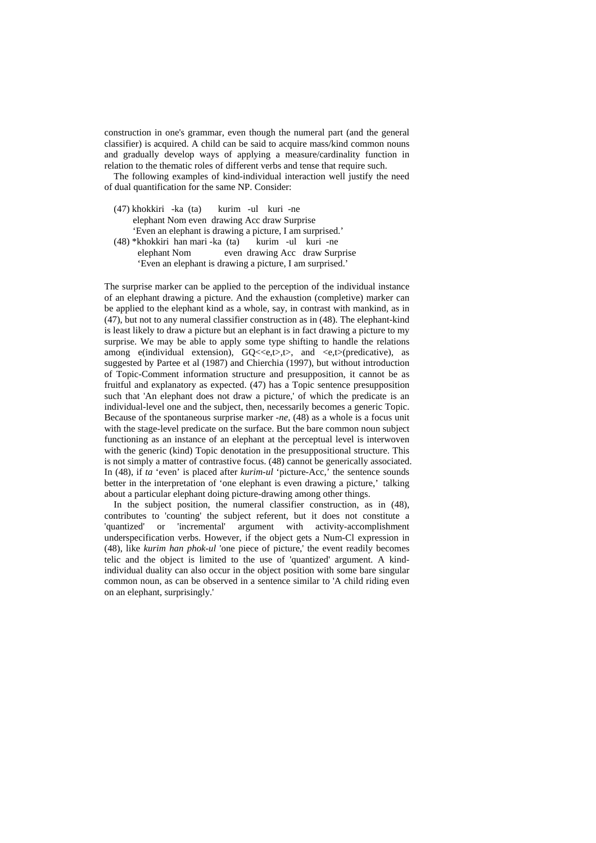construction in one's grammar, even though the numeral part (and the general classifier) is acquired. A child can be said to acquire mass/kind common nouns and gradually develop ways of applying a measure/cardinality function in relation to the thematic roles of different verbs and tense that require such.

 The following examples of kind-individual interaction well justify the need of dual quantification for the same NP. Consider:

- (47) khokkiri -ka (ta) kurim -ul kuri -ne elephant Nom even drawing Acc draw Surprise 'Even an elephant is drawing a picture, I am surprised.'  $(48)$  \*khokkiri han mari -ka  $(ta)$  kurim -ul kuri -ne
- elephant Nom even drawing Acc draw Surprise 'Even an elephant is drawing a picture, I am surprised.'

The surprise marker can be applied to the perception of the individual instance of an elephant drawing a picture. And the exhaustion (completive) marker can be applied to the elephant kind as a whole, say, in contrast with mankind, as in (47), but not to any numeral classifier construction as in (48). The elephant-kind is least likely to draw a picture but an elephant is in fact drawing a picture to my surprise. We may be able to apply some type shifting to handle the relations among e(individual extension),  $GQ \ll e, t$ ,  $t$ , and  $\ll e, t$  (predicative), as suggested by Partee et al (1987) and Chierchia (1997), but without introduction of Topic-Comment information structure and presupposition, it cannot be as fruitful and explanatory as expected. (47) has a Topic sentence presupposition such that 'An elephant does not draw a picture,' of which the predicate is an individual-level one and the subject, then, necessarily becomes a generic Topic. Because of the spontaneous surprise marker *-ne*, (48) as a whole is a focus unit with the stage-level predicate on the surface. But the bare common noun subject functioning as an instance of an elephant at the perceptual level is interwoven with the generic (kind) Topic denotation in the presuppositional structure. This is not simply a matter of contrastive focus. (48) cannot be generically associated. In (48), if *ta* 'even' is placed after *kurim-ul* 'picture-Acc,' the sentence sounds better in the interpretation of 'one elephant is even drawing a picture,' talking about a particular elephant doing picture-drawing among other things.

 In the subject position, the numeral classifier construction, as in (48), contributes to 'counting' the subject referent, but it does not constitute a 'quantized' or 'incremental' argument with activity-accomplishment underspecification verbs. However, if the object gets a Num-Cl expression in (48), like *kurim han phok-ul* 'one piece of picture,' the event readily becomes telic and the object is limited to the use of 'quantized' argument. A kindindividual duality can also occur in the object position with some bare singular common noun, as can be observed in a sentence similar to 'A child riding even on an elephant, surprisingly.'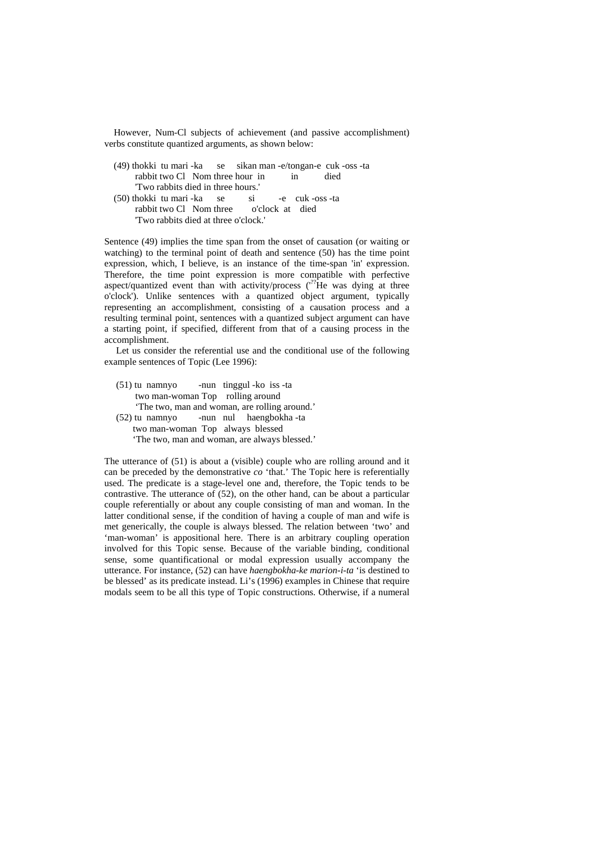However, Num-Cl subjects of achievement (and passive accomplishment) verbs constitute quantized arguments, as shown below:

| (49) thokki tu mari -ka se sikan man -e/tongan-e cuk -oss -ta |  |  |  |               |  |      |
|---------------------------------------------------------------|--|--|--|---------------|--|------|
| rabbit two Cl Nom three hour in                               |  |  |  | $\mathbf{in}$ |  | died |
| "Two rabbits died in three hours."                            |  |  |  |               |  |      |
| (50) thokki tu mari -ka se si -e cuk -oss -ta                 |  |  |  |               |  |      |
| rabbit two Cl Nom three o'clock at died                       |  |  |  |               |  |      |
| "Two rabbits died at three o'clock."                          |  |  |  |               |  |      |

Sentence (49) implies the time span from the onset of causation (or waiting or watching) to the terminal point of death and sentence (50) has the time point expression, which, I believe, is an instance of the time-span 'in' expression. Therefore, the time point expression is more compatible with perfective aspect/quantized event than with activity/process  $(^{??}$ He was dying at three o'clock'). Unlike sentences with a quantized object argument, typically representing an accomplishment, consisting of a causation process and a resulting terminal point, sentences with a quantized subject argument can have a starting point, if specified, different from that of a causing process in the accomplishment.

 Let us consider the referential use and the conditional use of the following example sentences of Topic (Lee 1996):

| (51) tu namnyo - nun tinggul - ko iss - ta    |  |  |  |  |  |  |
|-----------------------------------------------|--|--|--|--|--|--|
| two man-woman Top rolling around              |  |  |  |  |  |  |
| 'The two, man and woman, are rolling around.' |  |  |  |  |  |  |
| (52) tu namnyo -nun nul haengbokha -ta        |  |  |  |  |  |  |
| two man-woman Top always blessed              |  |  |  |  |  |  |
| 'The two, man and woman, are always blessed.' |  |  |  |  |  |  |

The utterance of (51) is about a (visible) couple who are rolling around and it can be preceded by the demonstrative *co* 'that.' The Topic here is referentially used. The predicate is a stage-level one and, therefore, the Topic tends to be contrastive. The utterance of (52), on the other hand, can be about a particular couple referentially or about any couple consisting of man and woman. In the latter conditional sense, if the condition of having a couple of man and wife is met generically, the couple is always blessed. The relation between 'two' and 'man-woman' is appositional here. There is an arbitrary coupling operation involved for this Topic sense. Because of the variable binding, conditional sense, some quantificational or modal expression usually accompany the utterance. For instance, (52) can have *haengbokha-ke marion-i-ta* 'is destined to be blessed' as its predicate instead. Li's (1996) examples in Chinese that require modals seem to be all this type of Topic constructions. Otherwise, if a numeral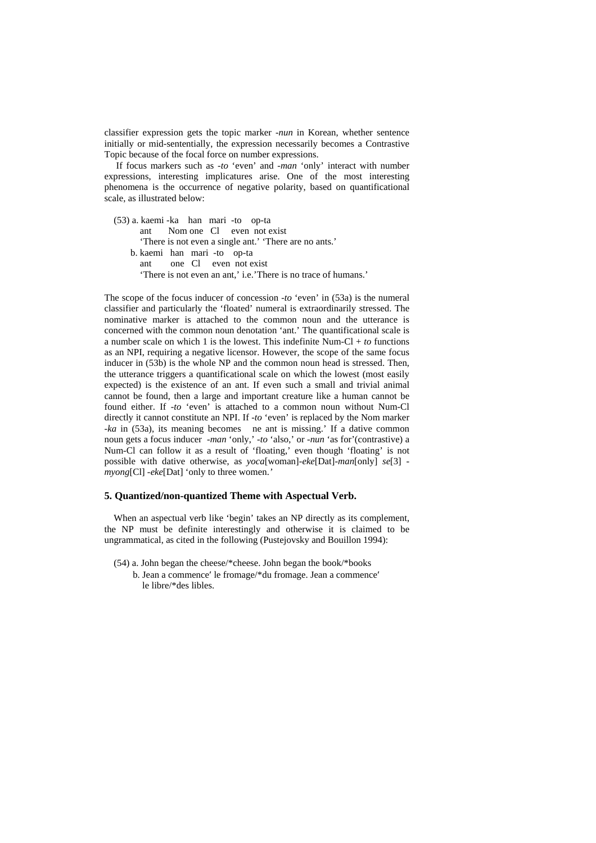classifier expression gets the topic marker -*nun* in Korean, whether sentence initially or mid-sententially, the expression necessarily becomes a Contrastive Topic because of the focal force on number expressions.

 If focus markers such as *-to* 'even' and *-man* 'only' interact with number expressions, interesting implicatures arise. One of the most interesting phenomena is the occurrence of negative polarity, based on quantificational scale, as illustrated below:

 (53) a. kaemi -ka han mari -to op-ta ant Nom one Cl even not exist 'There is not even a single ant.' 'There are no ants.' b. kaemi han mari -to op-ta ant one Cl even not exist 'There is not even an ant,' i.e.'There is no trace of humans.'

The scope of the focus inducer of concession *-to* 'even' in (53a) is the numeral classifier and particularly the 'floated' numeral is extraordinarily stressed. The nominative marker is attached to the common noun and the utterance is concerned with the common noun denotation 'ant.' The quantificational scale is a number scale on which 1 is the lowest. This indefinite Num-Cl +  $\tau$  functions as an NPI, requiring a negative licensor. However, the scope of the same focus inducer in (53b) is the whole NP and the common noun head is stressed. Then, the utterance triggers a quantificational scale on which the lowest (most easily expected) is the existence of an ant. If even such a small and trivial animal cannot be found, then a large and important creature like a human cannot be found either. If *-to* 'even' is attached to a common noun without Num-Cl directly it cannot constitute an NPI. If *-to* 'even' is replaced by the Nom marker -*ka* in (53a), its meaning becomes ne ant is missing.' If a dative common noun gets a focus inducer *-man* 'only,' -*to* 'also,' or -*nun* 'as for'(contrastive) a Num-Cl can follow it as a result of 'floating,' even though 'floating' is not possible with dative otherwise, as *yoca*[woman]-*eke*[Dat]-*man*[only] *se*[3] *myong*[Cl] *-eke*[Dat] 'only to three women.*'*

#### **5. Quantized/non-quantized Theme with Aspectual Verb.**

 When an aspectual verb like 'begin' takes an NP directly as its complement, the NP must be definite interestingly and otherwise it is claimed to be ungrammatical, as cited in the following (Pustejovsky and Bouillon 1994):

 (54) a. John began the cheese/\*cheese. John began the book/\*books b. Jean a commence′ le fromage/\*du fromage. Jean a commence′ le libre/\*des libles.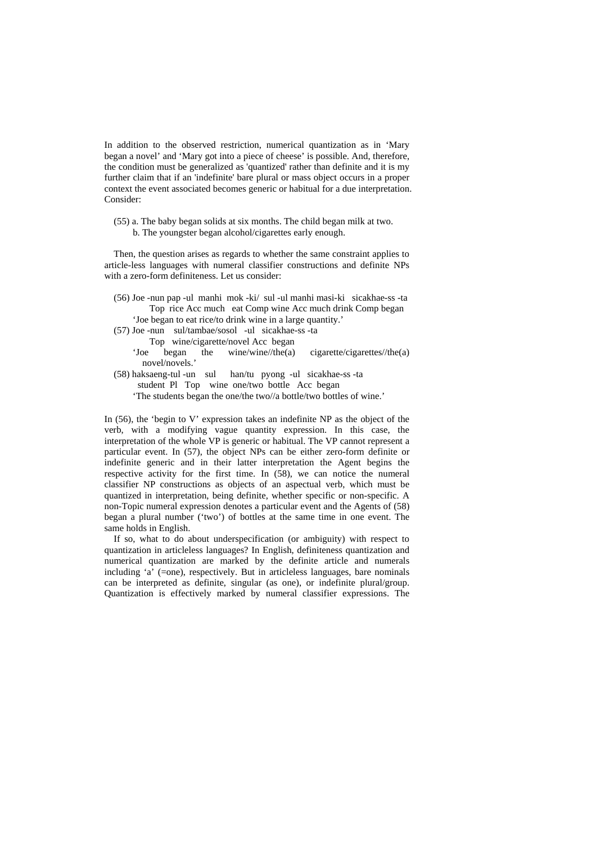In addition to the observed restriction, numerical quantization as in 'Mary began a novel' and 'Mary got into a piece of cheese' is possible. And, therefore, the condition must be generalized as 'quantized' rather than definite and it is my further claim that if an 'indefinite' bare plural or mass object occurs in a proper context the event associated becomes generic or habitual for a due interpretation. Consider:

 (55) a. The baby began solids at six months. The child began milk at two. b. The youngster began alcohol/cigarettes early enough.

 Then, the question arises as regards to whether the same constraint applies to article-less languages with numeral classifier constructions and definite NPs with a zero-form definiteness. Let us consider:

- (56) Joe -nun pap -ul manhi mok -ki/ sul -ul manhi masi-ki sicakhae-ss -ta Top rice Acc much eat Comp wine Acc much drink Comp began 'Joe began to eat rice/to drink wine in a large quantity.'
- (57) Joe -nun sul/tambae/sosol -ul sicakhae-ss -ta Top wine/cigarette/novel Acc began
	- 'Joe began the wine/wine//the(a) cigarette/cigarettes//the(a) novel/novels.'
- (58) haksaeng-tul -un sul han/tu pyong -ul sicakhae-ss -ta student Pl Top wine one/two bottle Acc began 'The students began the one/the two//a bottle/two bottles of wine.'

In (56), the 'begin to V' expression takes an indefinite NP as the object of the verb, with a modifying vague quantity expression. In this case, the interpretation of the whole VP is generic or habitual. The VP cannot represent a particular event. In (57), the object NPs can be either zero-form definite or indefinite generic and in their latter interpretation the Agent begins the respective activity for the first time. In (58), we can notice the numeral classifier NP constructions as objects of an aspectual verb, which must be quantized in interpretation, being definite, whether specific or non-specific. A non-Topic numeral expression denotes a particular event and the Agents of (58) began a plural number ('two') of bottles at the same time in one event. The same holds in English.

 If so, what to do about underspecification (or ambiguity) with respect to quantization in articleless languages? In English, definiteness quantization and numerical quantization are marked by the definite article and numerals including 'a' (=one), respectively. But in articleless languages, bare nominals can be interpreted as definite, singular (as one), or indefinite plural/group. Quantization is effectively marked by numeral classifier expressions. The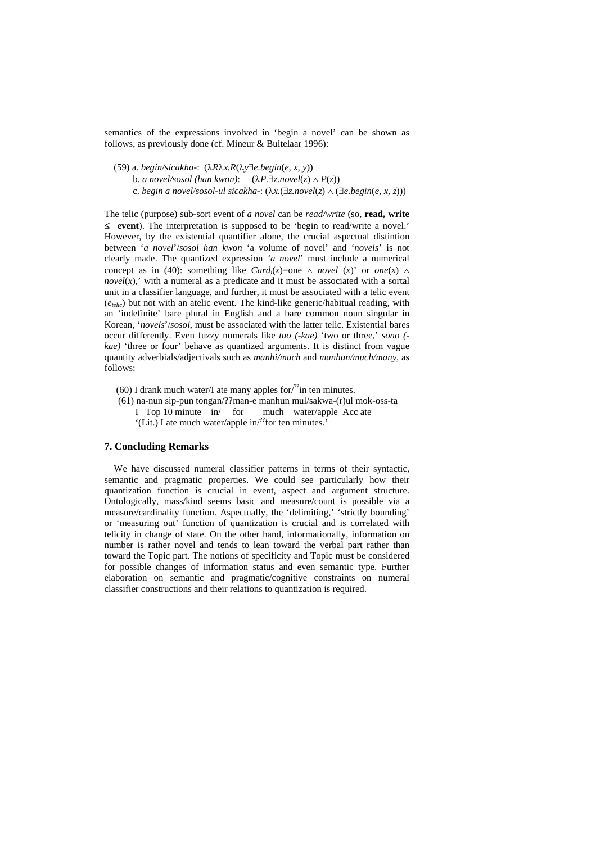semantics of the expressions involved in 'begin a novel' can be shown as follows, as previously done (cf. Mineur & Buitelaar 1996):

(59) a. *begin/sicakha-*: (λ*R*λ*x.R*(λ*y*∃*e.begin*(*e, x, y*))

b. *a novel/sosol* (han kwon):  $(\lambda P \cdot \exists z \text{.} novel(z) \land P(z))$ 

c. *begin a novel/sosol-ul sicakha-*: (λ*x.*(∃*z.novel*(*z*) ∧ (∃*e.begin*(*e, x, z*)))

The telic (purpose) sub-sort event of *a novel* can be *read/write* (so, **read, write**  ≤ **event**). The interpretation is supposed to be 'begin to read/write a novel.' However, by the existential quantifier alone, the crucial aspectual distintion between '*a novel*'/*sosol han kwon* 'a volume of novel' and '*novels*' is not clearly made. The quantized expression *'a novel*' must include a numerical concept as in (40): something like *Card* $(x)$ =one  $\land$  *novel*  $(x)$ ' or *one* $(x)$   $\land$ *novel* $(x)$ ,' with a numeral as a predicate and it must be associated with a sortal unit in a classifier language, and further, it must be associated with a telic event (*etelic*) but not with an atelic event. The kind-like generic/habitual reading, with an 'indefinite' bare plural in English and a bare common noun singular in Korean, '*novels*'/*sosol*, must be associated with the latter telic. Existential bares occur differently. Even fuzzy numerals like *tuo (-kae)* 'two or three,' *sono ( kae)* 'three or four' behave as quantized arguments. It is distinct from vague quantity adverbials/adjectivals such as *manhi/much* and *manhun/much/many*, as follows:

- (60) I drank much water/I ate many apples for  $l^{22}$  in ten minutes.
- (61) na-nun sip-pun tongan/??man-e manhun mul/sakwa-(r)ul mok-oss-ta<br>I Top 10 minute  $\int$  for much water/apple Acc ate I Top 10 minute  $in/$  for '(Lit.) I ate much water/apple in/??for ten minutes.'

# **7. Concluding Remarks**

 We have discussed numeral classifier patterns in terms of their syntactic, semantic and pragmatic properties. We could see particularly how their quantization function is crucial in event, aspect and argument structure. Ontologically, mass/kind seems basic and measure/count is possible via a measure/cardinality function. Aspectually, the 'delimiting,' 'strictly bounding' or 'measuring out' function of quantization is crucial and is correlated with telicity in change of state. On the other hand, informationally, information on number is rather novel and tends to lean toward the verbal part rather than toward the Topic part. The notions of specificity and Topic must be considered for possible changes of information status and even semantic type. Further elaboration on semantic and pragmatic/cognitive constraints on numeral classifier constructions and their relations to quantization is required.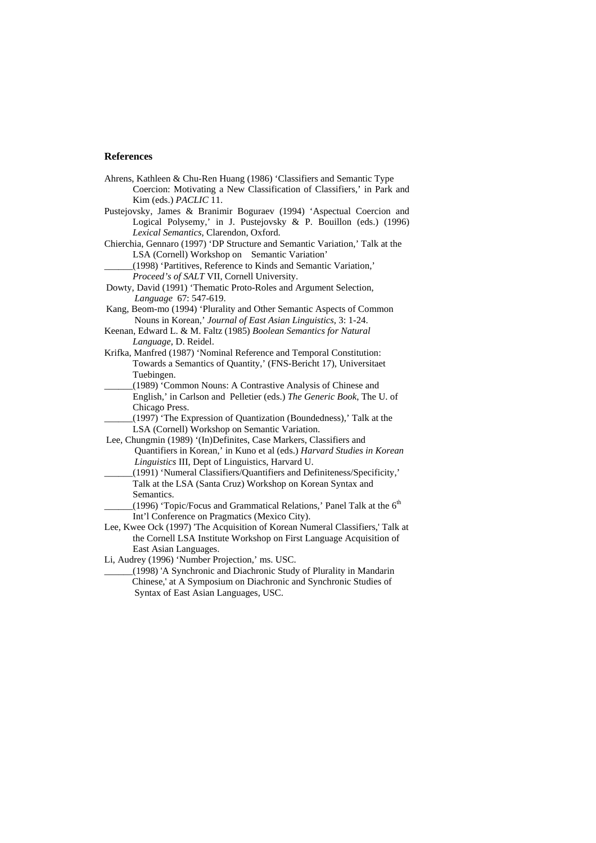#### **References**

- Ahrens, Kathleen & Chu-Ren Huang (1986) 'Classifiers and Semantic Type Coercion: Motivating a New Classification of Classifiers,' in Park and Kim (eds.) *PACLIC* 11.
- Pustejovsky, James & Branimir Boguraev (1994) 'Aspectual Coercion and Logical Polysemy,' in J. Pustejovsky & P. Bouillon (eds.) (1996) *Lexical Semantics*, Clarendon, Oxford.
- Chierchia, Gennaro (1997) 'DP Structure and Semantic Variation,' Talk at the LSA (Cornell) Workshop on Semantic Variation'
	- \_\_\_\_\_\_(1998) 'Partitives, Reference to Kinds and Semantic Variation,'
		- *Proceed's of SALT* VII, Cornell University.
- Dowty, David (1991) 'Thematic Proto-Roles and Argument Selection, *Language* 67: 547-619.
- Kang, Beom-mo (1994) 'Plurality and Other Semantic Aspects of Common Nouns in Korean,' *Journal of East Asian Linguistics*, 3: 1-24.
- Keenan, Edward L. & M. Faltz (1985) *Boolean Semantics for Natural Language*, D. Reidel.
- Krifka, Manfred (1987) 'Nominal Reference and Temporal Constitution: Towards a Semantics of Quantity,' (FNS-Bericht 17), Universitaet Tuebingen.
- \_\_\_\_\_\_(1989) 'Common Nouns: A Contrastive Analysis of Chinese and English,' in Carlson and Pelletier (eds.) *The Generic Book*, The U. of Chicago Press.
- \_\_\_\_\_\_(1997) 'The Expression of Quantization (Boundedness),' Talk at the LSA (Cornell) Workshop on Semantic Variation.
- Lee, Chungmin (1989) '(In)Definites, Case Markers, Classifiers and Quantifiers in Korean,' in Kuno et al (eds.) *Harvard Studies in Korean Linguistics* III, Dept of Linguistics, Harvard U.
- \_\_\_\_\_\_(1991) 'Numeral Classifiers/Quantifiers and Definiteness/Specificity,' Talk at the LSA (Santa Cruz) Workshop on Korean Syntax and Semantics.
	- (1996) 'Topic/Focus and Grammatical Relations,' Panel Talk at the  $6<sup>th</sup>$ Int'l Conference on Pragmatics (Mexico City).
- Lee, Kwee Ock (1997) 'The Acquisition of Korean Numeral Classifiers,' Talk at the Cornell LSA Institute Workshop on First Language Acquisition of East Asian Languages.
- Li, Audrey (1996) 'Number Projection,' ms. USC.
- \_\_\_\_\_\_(1998) 'A Synchronic and Diachronic Study of Plurality in Mandarin Chinese,' at A Symposium on Diachronic and Synchronic Studies of Syntax of East Asian Languages, USC.